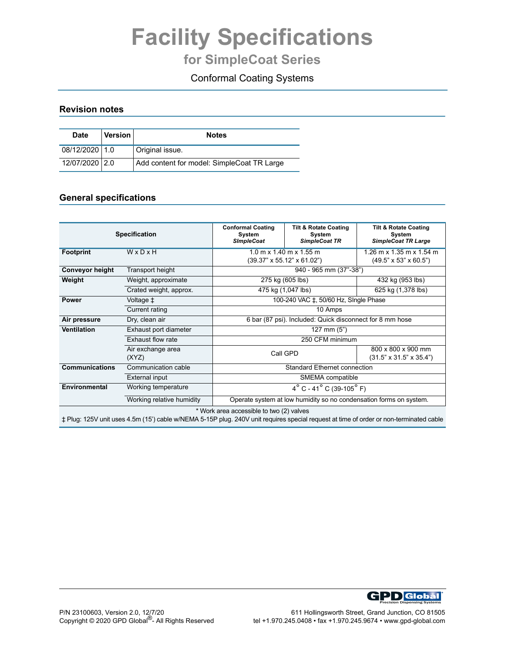# **Facility Specifications**

## **for SimpleCoat Series**

### Conformal Coating Systems

#### **Revision notes**

| <b>Date</b>    | <b>Version</b> | <b>Notes</b>                               |  |
|----------------|----------------|--------------------------------------------|--|
| 08/12/2020 1.0 |                | Original issue.                            |  |
| 12/07/2020 2.0 |                | Add content for model: SimpleCoat TR Large |  |

#### **General specifications**

|                                              | <b>Specification</b>      | <b>Conformal Coating</b><br>System<br><b>SImpleCoat</b>                       | <b>Tilt &amp; Rotate Coating</b><br>System<br><b>SimpleCoat TR</b> | <b>Tilt &amp; Rotate Coating</b><br>System<br><b>SimpleCoat TR Large</b> |  |
|----------------------------------------------|---------------------------|-------------------------------------------------------------------------------|--------------------------------------------------------------------|--------------------------------------------------------------------------|--|
| WxDxH<br><b>Footprint</b>                    |                           | $1.0 m \times 1.40 m \times 1.55 m$<br>$(39.37" \times 55.12" \times 61.02")$ |                                                                    | $1.26$ m x $1.35$ m x $1.54$ m<br>$(49.5" \times 53" \times 60.5")$      |  |
| <b>Conveyor height</b>                       | Transport height          |                                                                               | 940 - 965 mm (37"-38")                                             |                                                                          |  |
| Weight                                       | Weight, approximate       | 275 kg (605 lbs)                                                              |                                                                    | 432 kg (953 lbs)                                                         |  |
|                                              | Crated weight, approx.    | 475 kg (1,047 lbs)                                                            | 625 kg (1,378 lbs)                                                 |                                                                          |  |
| <b>Power</b>                                 | Voltage ‡                 | 100-240 VAC ‡, 50/60 Hz, SIngle Phase                                         |                                                                    |                                                                          |  |
| Current rating                               |                           | 10 Amps                                                                       |                                                                    |                                                                          |  |
| Dry, clean air<br>Air pressure               |                           | 6 bar (87 psi). Included: Quick disconnect for 8 mm hose                      |                                                                    |                                                                          |  |
| <b>Ventilation</b><br>Exhaust port diameter  |                           | 127 mm $(5")$                                                                 |                                                                    |                                                                          |  |
| Exhaust flow rate                            |                           | 250 CFM minimum                                                               |                                                                    |                                                                          |  |
| Air exchange area<br>(XYZ)                   |                           | Call GPD                                                                      |                                                                    | 800 x 800 x 900 mm<br>$(31.5" \times 31.5" \times 35.4")$                |  |
| <b>Communications</b><br>Communication cable |                           | <b>Standard Ethernet connection</b>                                           |                                                                    |                                                                          |  |
| External input                               |                           | SMEMA compatible                                                              |                                                                    |                                                                          |  |
| Environmental<br>Working temperature         |                           | $4^{\circ}$ C - 41 <sup>°</sup> C (39-105 <sup>°</sup> F)                     |                                                                    |                                                                          |  |
|                                              | Working relative humidity | Operate system at low humidity so no condensation forms on system.            |                                                                    |                                                                          |  |
| $*$ Mork area accordible to two $(2)$ values |                           |                                                                               |                                                                    |                                                                          |  |

Work area accessible to two  $(2)$  valves

‡ Plug: 125V unit uses 4.5m (15') cable w/NEMA 5-15P plug. 240V unit requires special request at time of order or non-terminated cable

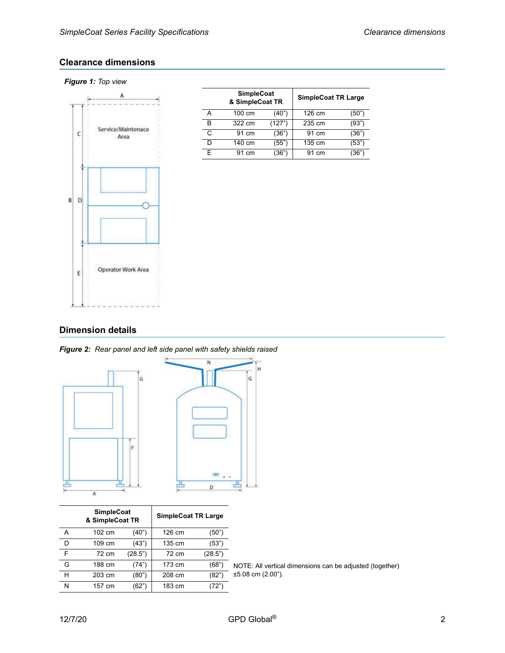#### **Clearance dimensions**

#### *Figure 1: Top view*



| <b>SimpleCoat</b><br>& SimpleCoat TR |        |        | <b>SimpleCoat TR Large</b> |       |
|--------------------------------------|--------|--------|----------------------------|-------|
|                                      | 100 cm | (40")  | 126 cm                     | (50") |
| в                                    | 322 cm | (127") | 235 cm                     | (93"  |
| C                                    | 91 cm  | (36"   | 91 cm                      | (36") |
|                                      | 140 cm | (55")  | 135 cm                     | (53"  |
| F                                    | 91 cm  | '36"   | 91 cm                      |       |

#### **Dimension details**





| <b>SimpleCoat</b><br>& SimpleCoat TR |        | <b>SimpleCoat TR Large</b> |        |         |                                                          |
|--------------------------------------|--------|----------------------------|--------|---------|----------------------------------------------------------|
| A                                    | 102 cm | (40")                      | 126 cm | (50")   |                                                          |
| D                                    | 109 cm | (43")                      | 135 cm | (53")   |                                                          |
| F                                    | 72 cm  | (28.5")                    | 72 cm  | (28.5") |                                                          |
| G                                    | 188 cm | (74")                      | 173 cm | (68")   | NOTE: All vertical dimensions can be adjusted (together) |
| н                                    | 203 cm | (80")                      | 208 cm | (82")   | $±5.08$ cm $(2.00")$ .                                   |
| N                                    | 157 cm | (62")                      | 183 cm | (72")   |                                                          |